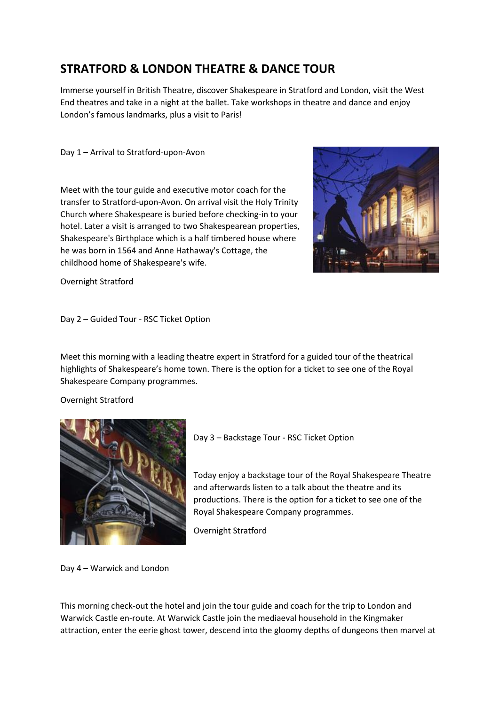## **STRATFORD & LONDON THEATRE & DANCE TOUR**

Immerse yourself in British Theatre, discover Shakespeare in Stratford and London, visit the West End theatres and take in a night at the ballet. Take workshops in theatre and dance and enjoy London's famous landmarks, plus a visit to Paris!

Day 1 – Arrival to Stratford-upon-Avon

Meet with the tour guide and executive motor coach for the transfer to Stratford-upon-Avon. On arrival visit the Holy Trinity Church where Shakespeare is buried before checking-in to your hotel. Later a visit is arranged to two Shakespearean properties, Shakespeare's Birthplace which is a half timbered house where he was born in 1564 and Anne Hathaway's Cottage, the childhood home of Shakespeare's wife.



Overnight Stratford

Day 2 – Guided Tour - RSC Ticket Option

Meet this morning with a leading theatre expert in Stratford for a guided tour of the theatrical highlights of Shakespeare's home town. There is the option for a ticket to see one of the Royal Shakespeare Company programmes.

Overnight Stratford



Day 3 – Backstage Tour - RSC Ticket Option

Today enjoy a backstage tour of the Royal Shakespeare Theatre and afterwards listen to a talk about the theatre and its productions. There is the option for a ticket to see one of the Royal Shakespeare Company programmes.

Overnight Stratford

Day 4 – Warwick and London

This morning check-out the hotel and join the tour guide and coach for the trip to London and Warwick Castle en-route. At Warwick Castle join the mediaeval household in the Kingmaker attraction, enter the eerie ghost tower, descend into the gloomy depths of dungeons then marvel at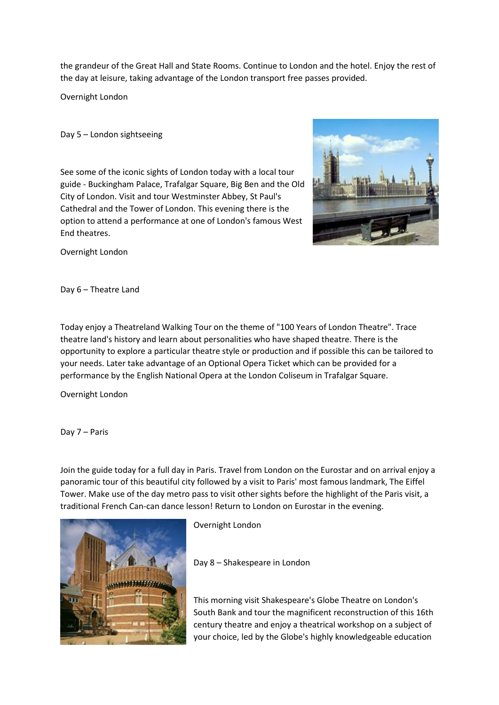the grandeur of the Great Hall and State Rooms. Continue to London and the hotel. Enjoy the rest of the day at leisure, taking advantage of the London transport free passes provided.

Overnight London

Day 5 – London sightseeing

See some of the iconic sights of London today with a local tour guide - Buckingham Palace, Trafalgar Square, Big Ben and the Old City of London. Visit and tour Westminster Abbey, St Paul's Cathedral and the Tower of London. This evening there is the option to attend a performance at one of London's famous West End theatres.



Overnight London

Day 6 – Theatre Land

Today enjoy a Theatreland Walking Tour on the theme of "100 Years of London Theatre". Trace theatre land's history and learn about personalities who have shaped theatre. There is the opportunity to explore a particular theatre style or production and if possible this can be tailored to your needs. Later take advantage of an Optional Opera Ticket which can be provided for a performance by the English National Opera at the London Coliseum in Trafalgar Square.

Overnight London

Day 7 – Paris

Join the guide today for a full day in Paris. Travel from London on the Eurostar and on arrival enjoy a panoramic tour of this beautiful city followed by a visit to Paris' most famous landmark, The Eiffel Tower. Make use of the day metro pass to visit other sights before the highlight of the Paris visit, a traditional French Can-can dance lesson! Return to London on Eurostar in the evening.



Overnight London

Day 8 – Shakespeare in London

This morning visit Shakespeare's Globe Theatre on London's South Bank and tour the magnificent reconstruction of this 16th century theatre and enjoy a theatrical workshop on a subject of your choice, led by the Globe's highly knowledgeable education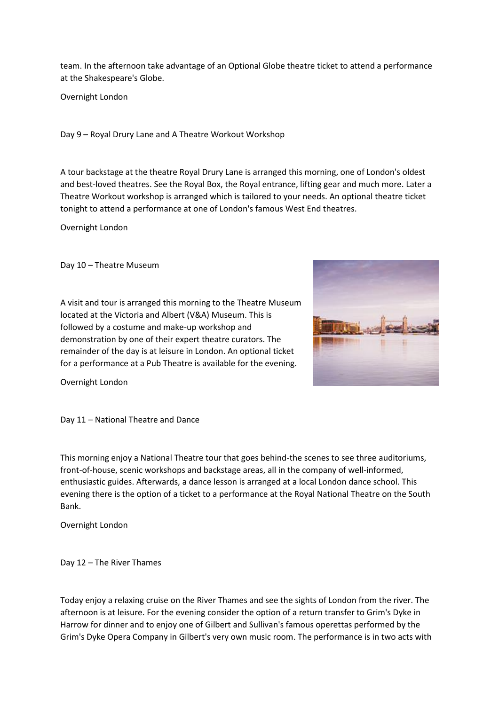team. In the afternoon take advantage of an Optional Globe theatre ticket to attend a performance at the Shakespeare's Globe.

Overnight London

Day 9 – Royal Drury Lane and A Theatre Workout Workshop

A tour backstage at the theatre Royal Drury Lane is arranged this morning, one of London's oldest and best-loved theatres. See the Royal Box, the Royal entrance, lifting gear and much more. Later a Theatre Workout workshop is arranged which is tailored to your needs. An optional theatre ticket tonight to attend a performance at one of London's famous West End theatres.

Overnight London

Day 10 – Theatre Museum

A visit and tour is arranged this morning to the Theatre Museum located at the Victoria and Albert (V&A) Museum. This is followed by a costume and make-up workshop and demonstration by one of their expert theatre curators. The remainder of the day is at leisure in London. An optional ticket for a performance at a Pub Theatre is available for the evening.



Overnight London

Day 11 – National Theatre and Dance

This morning enjoy a National Theatre tour that goes behind-the scenes to see three auditoriums, front-of-house, scenic workshops and backstage areas, all in the company of well-informed, enthusiastic guides. Afterwards, a dance lesson is arranged at a local London dance school. This evening there is the option of a ticket to a performance at the Royal National Theatre on the South Bank.

Overnight London

Day 12 – The River Thames

Today enjoy a relaxing cruise on the River Thames and see the sights of London from the river. The afternoon is at leisure. For the evening consider the option of a return transfer to Grim's Dyke in Harrow for dinner and to enjoy one of Gilbert and Sullivan's famous operettas performed by the Grim's Dyke Opera Company in Gilbert's very own music room. The performance is in two acts with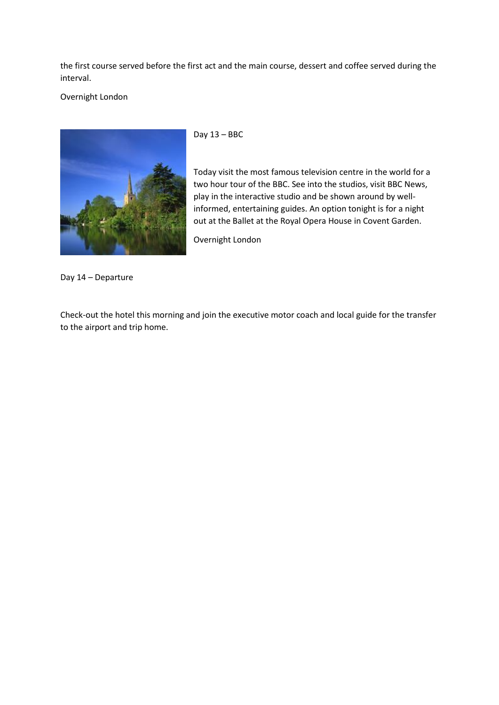the first course served before the first act and the main course, dessert and coffee served during the interval.

## Overnight London



Day 13 – BBC

Today visit the most famous television centre in the world for a two hour tour of the BBC. See into the studios, visit BBC News, play in the interactive studio and be shown around by wellinformed, entertaining guides. An option tonight is for a night out at the Ballet at the Royal Opera House in Covent Garden.

Overnight London

Day 14 – Departure

Check-out the hotel this morning and join the executive motor coach and local guide for the transfer to the airport and trip home.